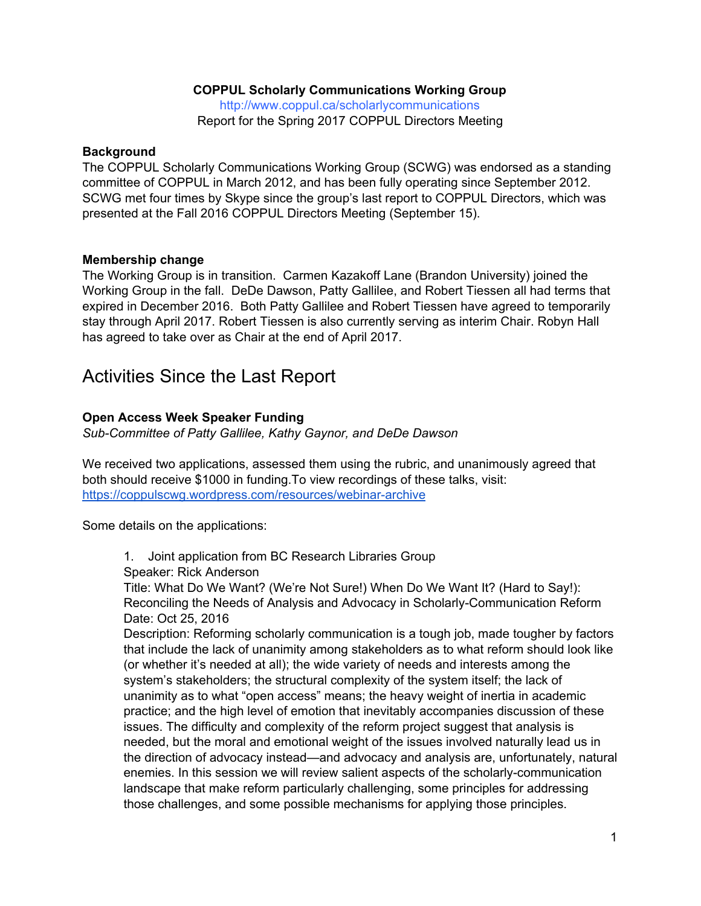# **COPPUL Scholarly Communications Working Group**

<http://www.coppul.ca/scholarlycommunications> Report for the Spring 2017 COPPUL Directors Meeting

### **Background**

The COPPUL Scholarly Communications Working Group (SCWG) was endorsed as a standing committee of COPPUL in March 2012, and has been fully operating since September 2012. SCWG met four times by Skype since the group's last report to COPPUL Directors, which was presented at the Fall 2016 COPPUL Directors Meeting (September 15).

## **Membership change**

The Working Group is in transition. Carmen Kazakoff Lane (Brandon University) joined the Working Group in the fall. DeDe Dawson, Patty Gallilee, and Robert Tiessen all had terms that expired in December 2016. Both Patty Gallilee and Robert Tiessen have agreed to temporarily stay through April 2017. Robert Tiessen is also currently serving as interim Chair. Robyn Hall has agreed to take over as Chair at the end of April 2017.

# Activities Since the Last Report

## **Open Access Week Speaker Funding**

*Sub-Committee of Patty Gallilee, Kathy Gaynor, and DeDe Dawson*

We received two applications, assessed them using the rubric, and unanimously agreed that both should receive \$1000 in funding.To view recordings of these talks, visit: <https://coppulscwg.wordpress.com/resources/webinar-archive>

Some details on the applications:

1. Joint application from BC Research Libraries Group

Speaker: Rick Anderson

Title: What Do We Want? (We're Not Sure!) When Do We Want It? (Hard to Say!): Reconciling the Needs of Analysis and Advocacy in Scholarly-Communication Reform Date: Oct 25, 2016

Description: Reforming scholarly communication is a tough job, made tougher by factors that include the lack of unanimity among stakeholders as to what reform should look like (or whether it's needed at all); the wide variety of needs and interests among the system's stakeholders; the structural complexity of the system itself; the lack of unanimity as to what "open access" means; the heavy weight of inertia in academic practice; and the high level of emotion that inevitably accompanies discussion of these issues. The difficulty and complexity of the reform project suggest that analysis is needed, but the moral and emotional weight of the issues involved naturally lead us in the direction of advocacy instead—and advocacy and analysis are, unfortunately, natural enemies. In this session we will review salient aspects of the scholarly-communication landscape that make reform particularly challenging, some principles for addressing those challenges, and some possible mechanisms for applying those principles.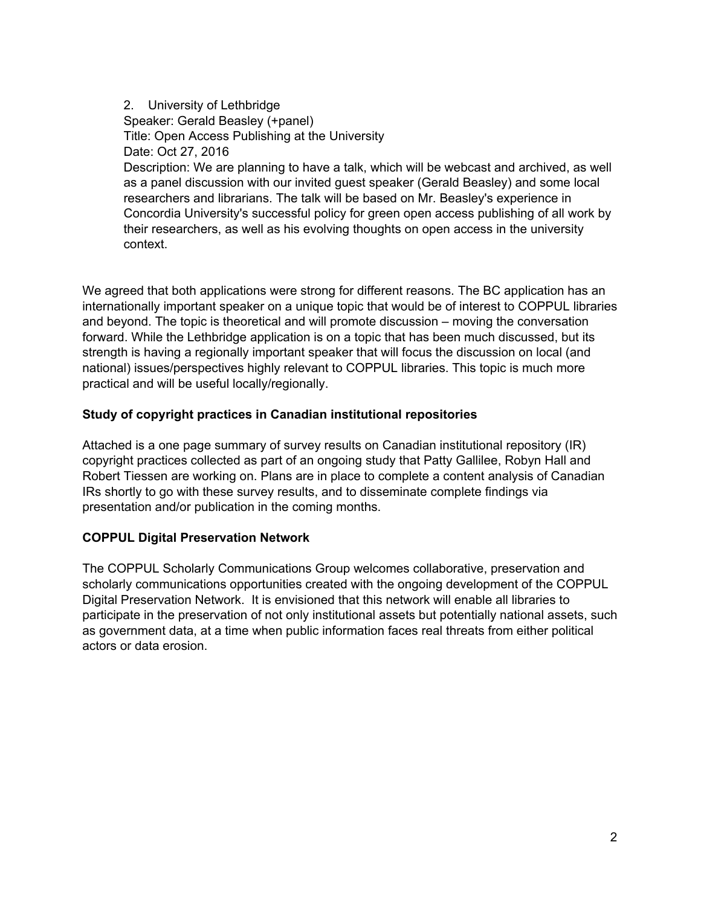# 2. University of Lethbridge Speaker: Gerald Beasley (+panel) Title: Open Access Publishing at the University Date: Oct 27, 2016 Description: We are planning to have a talk, which will be webcast and archived, as well as a panel discussion with our invited guest speaker (Gerald Beasley) and some local researchers and librarians. The talk will be based on Mr. Beasley's experience in Concordia University's successful policy for green open access publishing of all work by their researchers, as well as his evolving thoughts on open access in the university context.

We agreed that both applications were strong for different reasons. The BC application has an internationally important speaker on a unique topic that would be of interest to COPPUL libraries and beyond. The topic is theoretical and will promote discussion – moving the conversation forward. While the Lethbridge application is on a topic that has been much discussed, but its strength is having a regionally important speaker that will focus the discussion on local (and national) issues/perspectives highly relevant to COPPUL libraries. This topic is much more practical and will be useful locally/regionally.

# **Study of copyright practices in Canadian institutional repositories**

Attached is a one page summary of survey results on Canadian institutional repository (IR) copyright practices collected as part of an ongoing study that Patty Gallilee, Robyn Hall and Robert Tiessen are working on. Plans are in place to complete a content analysis of Canadian IRs shortly to go with these survey results, and to disseminate complete findings via presentation and/or publication in the coming months.

## **COPPUL Digital Preservation Network**

The COPPUL Scholarly Communications Group welcomes collaborative, preservation and scholarly communications opportunities created with the ongoing development of the COPPUL Digital Preservation Network. It is envisioned that this network will enable all libraries to participate in the preservation of not only institutional assets but potentially national assets, such as government data, at a time when public information faces real threats from either political actors or data erosion.